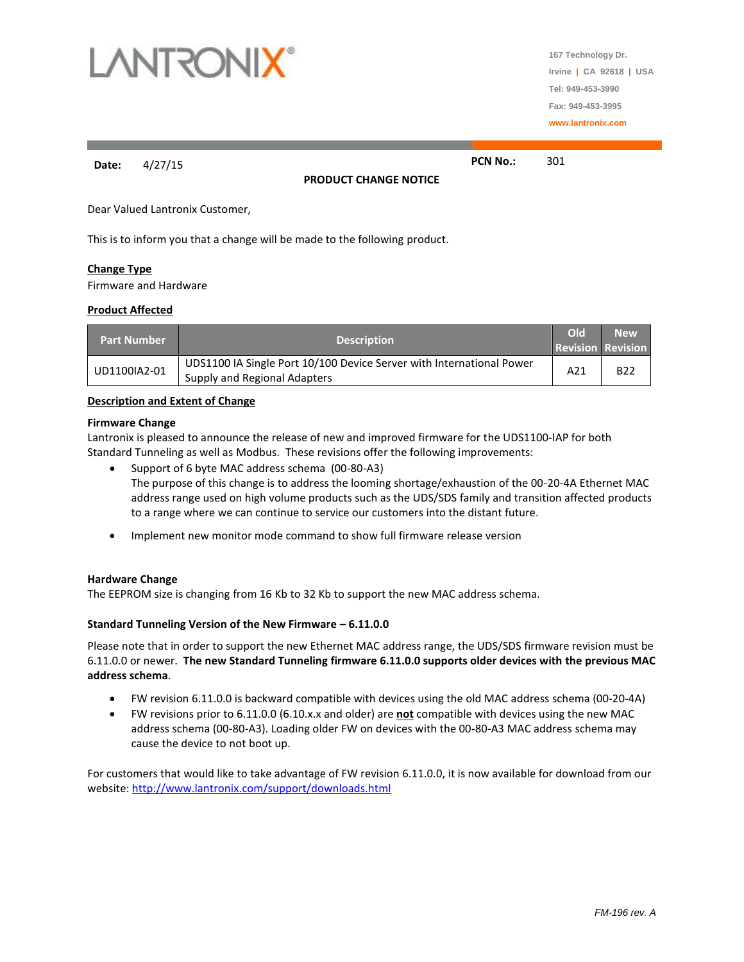

**167 Technology Dr. Irvine | CA 92618 | USA Tel: 949-453-3990 Fax: 949-453-3995 www.lantronix.com**

**Date:** 4/27/15 **PCN No.:** 301

**PRODUCT CHANGE NOTICE**

Dear Valued Lantronix Customer,

This is to inform you that a change will be made to the following product.

# **Change Type**

Firmware and Hardware

#### **Product Affected**

| <b>Part Number</b> | <b>Description</b>                                                                                   | Old<br><b>Revision Revision</b> | <b>New</b> |
|--------------------|------------------------------------------------------------------------------------------------------|---------------------------------|------------|
| UD1100IA2-01       | UDS1100 IA Single Port 10/100 Device Server with International Power<br>Supply and Regional Adapters | A21                             | <b>B22</b> |

### **Description and Extent of Change**

#### **Firmware Change**

Lantronix is pleased to announce the release of new and improved firmware for the UDS1100-IAP for both Standard Tunneling as well as Modbus. These revisions offer the following improvements:

- Support of 6 byte MAC address schema (00-80-A3) The purpose of this change is to address the looming shortage/exhaustion of the 00-20-4A Ethernet MAC address range used on high volume products such as the UDS/SDS family and transition affected products to a range where we can continue to service our customers into the distant future.
- Implement new monitor mode command to show full firmware release version

#### **Hardware Change**

The EEPROM size is changing from 16 Kb to 32 Kb to support the new MAC address schema.

# **Standard Tunneling Version of the New Firmware – 6.11.0.0**

Please note that in order to support the new Ethernet MAC address range, the UDS/SDS firmware revision must be 6.11.0.0 or newer. **The new Standard Tunneling firmware 6.11.0.0 supports older devices with the previous MAC address schema**.

- FW revision 6.11.0.0 is backward compatible with devices using the old MAC address schema (00-20-4A)
- FW revisions prior to 6.11.0.0 (6.10.x.x and older) are **not** compatible with devices using the new MAC address schema (00-80-A3). Loading older FW on devices with the 00-80-A3 MAC address schema may cause the device to not boot up.

For customers that would like to take advantage of FW revision 6.11.0.0, it is now available for download from our website:<http://www.lantronix.com/support/downloads.html>